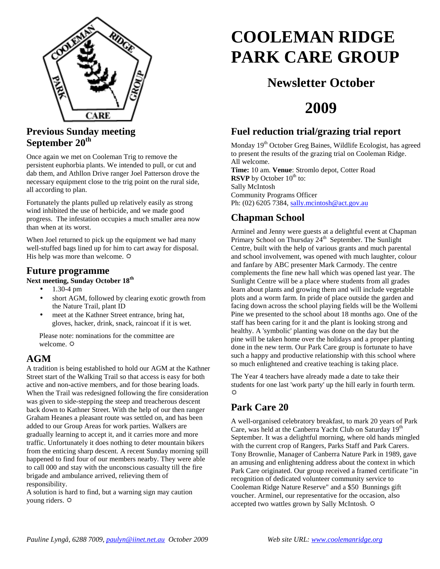

#### **Previous Sunday meeting September 20th**

Once again we met on Cooleman Trig to remove the persistent euphorbia plants. We intended to pull, or cut and dab them, and Athllon Drive ranger Joel Patterson drove the necessary equipment close to the trig point on the rural side, all according to plan.

Fortunately the plants pulled up relatively easily as strong wind inhibited the use of herbicide, and we made good progress. The infestation occupies a much smaller area now than when at its worst.

When Joel returned to pick up the equipment we had many well-stuffed bags lined up for him to cart away for disposal. His help was more than welcome.  $\Phi$ 

#### **Future programme**

**Next meeting, Sunday October 18th** 

- 1.30-4 pm
- short AGM, followed by clearing exotic growth from the Nature Trail, plant ID
- meet at the Kathner Street entrance, bring hat, gloves, hacker, drink, snack, raincoat if it is wet.

Please note: nominations for the committee are welcome.  $\Phi$ 

#### **AGM**

A tradition is being established to hold our AGM at the Kathner Street start of the Walking Trail so that access is easy for both active and non-active members, and for those bearing loads. When the Trail was redesigned following the fire consideration was given to side-stepping the steep and treacherous descent back down to Kathner Street. With the help of our then ranger Graham Heanes a pleasant route was settled on, and has been added to our Group Areas for work parties. Walkers are gradually learning to accept it, and it carries more and more traffic. Unfortunately it does nothing to deter mountain bikers from the enticing sharp descent. A recent Sunday morning spill happened to find four of our members nearby. They were able to call 000 and stay with the unconscious casualty till the fire brigade and ambulance arrived, relieving them of responsibility.

A solution is hard to find, but a warning sign may caution young riders.

# **COOLEMAN RIDGE PARK CARE GROUP**

# **Newsletter October**

# **2009**

#### **Fuel reduction trial/grazing trial report**

Monday 19<sup>th</sup> October Greg Baines, Wildlife Ecologist, has agreed to present the results of the grazing trial on Cooleman Ridge. All welcome. **Time:** 10 am. **Venue**: Stromlo depot, Cotter Road **RSVP** by October 10<sup>th</sup> to: Sally McIntosh Community Programs Officer Ph: (02) 6205 7384, sally.mcintosh@act.gov.au

## **Chapman School**

Arminel and Jenny were guests at a delightful event at Chapman Primary School on Thursday 24<sup>th</sup> September. The Sunlight Centre, built with the help of various grants and much parental and school involvement, was opened with much laughter, colour and fanfare by ABC presenter Mark Carmody. The centre complements the fine new hall which was opened last year. The Sunlight Centre will be a place where students from all grades learn about plants and growing them and will include vegetable plots and a worm farm. In pride of place outside the garden and facing down across the school playing fields will be the Wollemi Pine we presented to the school about 18 months ago. One of the staff has been caring for it and the plant is looking strong and healthy. A 'symbolic' planting was done on the day but the pine will be taken home over the holidays and a proper planting done in the new term. Our Park Care group is fortunate to have such a happy and productive relationship with this school where so much enlightened and creative teaching is taking place.

The Year 4 teachers have already made a date to take their students for one last 'work party' up the hill early in fourth term. ń

## **Park Care 20**

A well-organised celebratory breakfast, to mark 20 years of Park Care, was held at the Canberra Yacht Club on Saturday 19<sup>th</sup> September. It was a delightful morning, where old hands mingled with the current crop of Rangers, Parks Staff and Park Carers. Tony Brownlie, Manager of Canberra Nature Park in 1989, gave an amusing and enlightening address about the context in which Park Care originated. Our group received a framed certificate "in recognition of dedicated volunteer community service to Cooleman Ridge Nature Reserve" and a \$50 Bunnings gift voucher. Arminel, our representative for the occasion, also accepted two wattles grown by Sally McIntosh.